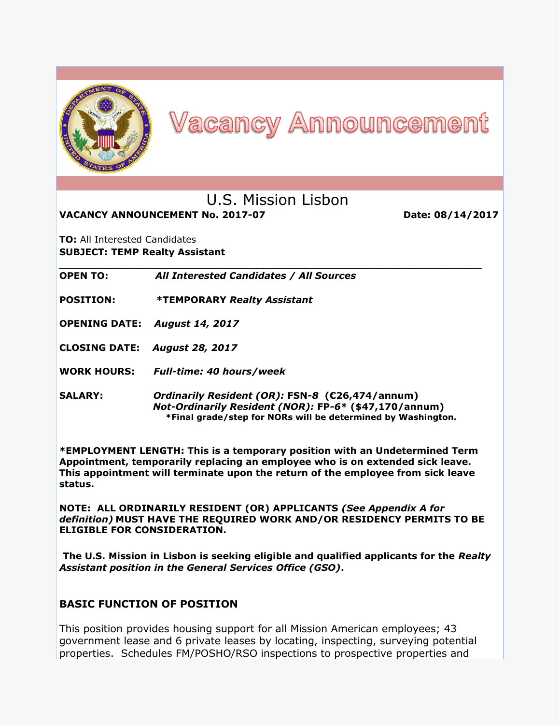

# **Vacancy Announcement**

# U.S. Mission Lisbon

**VACANCY ANNOUNCEMENT No. 2017-07 Date: 08/14/2017** 

**TO:** All Interested Candidates **SUBJECT: TEMP Realty Assistant**

\_\_\_\_\_\_\_\_\_\_\_\_\_\_\_\_\_\_\_\_\_\_\_\_\_\_\_\_\_\_\_\_\_\_\_\_\_\_\_\_\_\_\_\_\_\_\_\_\_\_\_\_\_\_\_\_\_\_\_\_\_\_\_\_\_\_\_\_\_\_\_\_\_\_\_\_\_ **OPEN TO:** *All Interested Candidates / All Sources*

**POSITION: \*TEMPORARY** *Realty Assistant*

**OPENING DATE:** *August 14, 2017*

**CLOSING DATE:** *August 28, 2017*

**WORK HOURS:** *Full-time: 40 hours/week*

**SALARY:** *Ordinarily Resident (OR):* **FSN***-8* **(€26,474/annum)**  *Not-Ordinarily Resident (NOR):* **FP***-6***\* (\$47,170/annum) \*Final grade/step for NORs will be determined by Washington.**

**\*EMPLOYMENT LENGTH: This is a temporary position with an Undetermined Term Appointment, temporarily replacing an employee who is on extended sick leave. This appointment will terminate upon the return of the employee from sick leave status.**

**NOTE: ALL ORDINARILY RESIDENT (OR) APPLICANTS** *(See Appendix A for definition)* **MUST HAVE THE REQUIRED WORK AND/OR RESIDENCY PERMITS TO BE ELIGIBLE FOR CONSIDERATION.**

**The U.S. Mission in Lisbon is seeking eligible and qualified applicants for the** *Realty Assistant position in the General Services Office (GSO)***.**

#### **BASIC FUNCTION OF POSITION**

This position provides housing support for all Mission American employees; 43 government lease and 6 private leases by locating, inspecting, surveying potential properties. Schedules FM/POSHO/RSO inspections to prospective properties and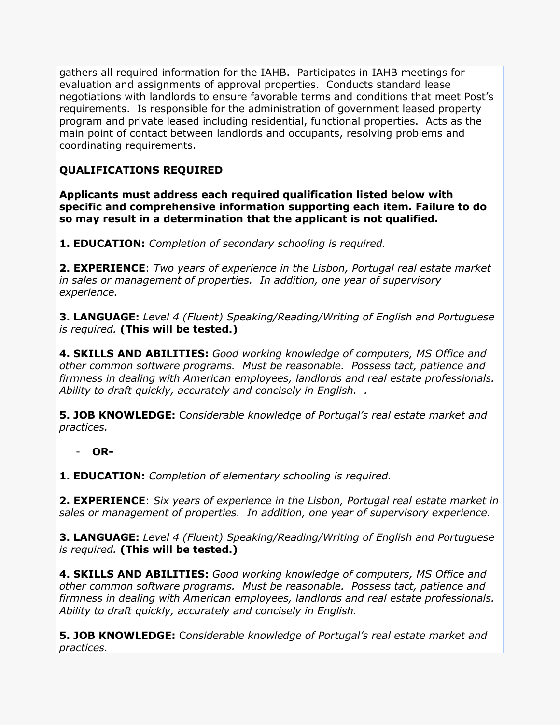gathers all required information for the IAHB. Participates in IAHB meetings for evaluation and assignments of approval properties. Conducts standard lease negotiations with landlords to ensure favorable terms and conditions that meet Post's requirements. Is responsible for the administration of government leased property program and private leased including residential, functional properties. Acts as the main point of contact between landlords and occupants, resolving problems and coordinating requirements.

## **QUALIFICATIONS REQUIRED**

**Applicants must address each required qualification listed below with specific and comprehensive information supporting each item. Failure to do so may result in a determination that the applicant is not qualified.** 

**1. EDUCATION:** *Completion of secondary schooling is required.* 

**2. EXPERIENCE**: *Two years of experience in the Lisbon, Portugal real estate market in sales or management of properties. In addition, one year of supervisory experience.*

**3. LANGUAGE:** *Level 4 (Fluent) Speaking/Reading/Writing of English and Portuguese is required.* **(This will be tested.)** 

**4. SKILLS AND ABILITIES:** *Good working knowledge of computers, MS Office and other common software programs. Must be reasonable. Possess tact, patience and firmness in dealing with American employees, landlords and real estate professionals. Ability to draft quickly, accurately and concisely in English. .*

**5. JOB KNOWLEDGE:** C*onsiderable knowledge of Portugal's real estate market and practices.*

- **OR-**

**1. EDUCATION:** *Completion of elementary schooling is required.* 

**2. EXPERIENCE**: *Six years of experience in the Lisbon, Portugal real estate market in sales or management of properties. In addition, one year of supervisory experience.*

**3. LANGUAGE:** *Level 4 (Fluent) Speaking/Reading/Writing of English and Portuguese is required.* **(This will be tested.)** 

**4. SKILLS AND ABILITIES:** *Good working knowledge of computers, MS Office and other common software programs. Must be reasonable. Possess tact, patience and firmness in dealing with American employees, landlords and real estate professionals. Ability to draft quickly, accurately and concisely in English.* 

**5. JOB KNOWLEDGE:** C*onsiderable knowledge of Portugal's real estate market and practices.*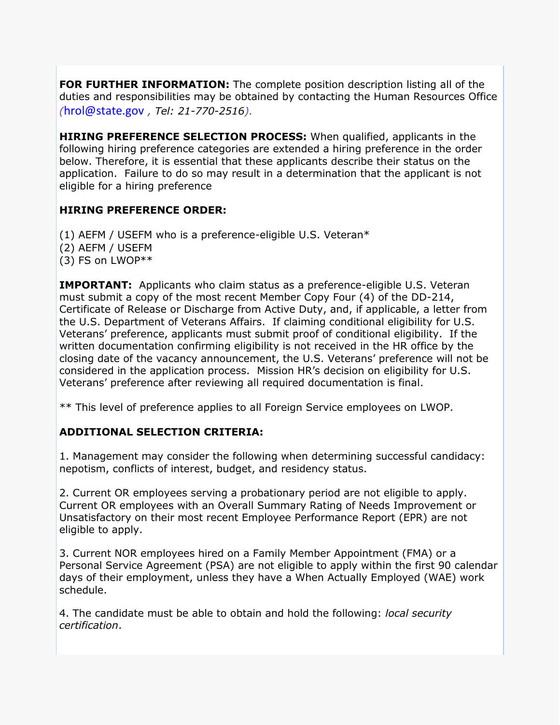**FOR FURTHER INFORMATION:** The complete position description listing all of the duties and responsibilities may be obtained by contacting the Human Resources Office *(*[hrol@state.gov](mailto:hrol@state.gov) *, Tel: 21-770-2516).*

**HIRING PREFERENCE SELECTION PROCESS:** When qualified, applicants in the following hiring preference categories are extended a hiring preference in the order below. Therefore, it is essential that these applicants describe their status on the application. Failure to do so may result in a determination that the applicant is not eligible for a hiring preference

### **HIRING PREFERENCE ORDER:**

(1) AEFM / USEFM who is a preference-eligible U.S. Veteran\* (2) AEFM / USEFM (3) FS on LWOP\*\*

**IMPORTANT:** Applicants who claim status as a preference-eligible U.S. Veteran must submit a copy of the most recent Member Copy Four (4) of the DD-214, Certificate of Release or Discharge from Active Duty, and, if applicable, a letter from the U.S. Department of Veterans Affairs. If claiming conditional eligibility for U.S. Veterans' preference, applicants must submit proof of conditional eligibility. If the written documentation confirming eligibility is not received in the HR office by the closing date of the vacancy announcement, the U.S. Veterans' preference will not be considered in the application process. Mission HR's decision on eligibility for U.S. Veterans' preference after reviewing all required documentation is final.

\*\* This level of preference applies to all Foreign Service employees on LWOP.

### **ADDITIONAL SELECTION CRITERIA:**

1. Management may consider the following when determining successful candidacy: nepotism, conflicts of interest, budget, and residency status.

2. Current OR employees serving a probationary period are not eligible to apply. Current OR employees with an Overall Summary Rating of Needs Improvement or Unsatisfactory on their most recent Employee Performance Report (EPR) are not eligible to apply.

3. Current NOR employees hired on a Family Member Appointment (FMA) or a Personal Service Agreement (PSA) are not eligible to apply within the first 90 calendar days of their employment, unless they have a When Actually Employed (WAE) work schedule.

4. The candidate must be able to obtain and hold the following: *local security certification*.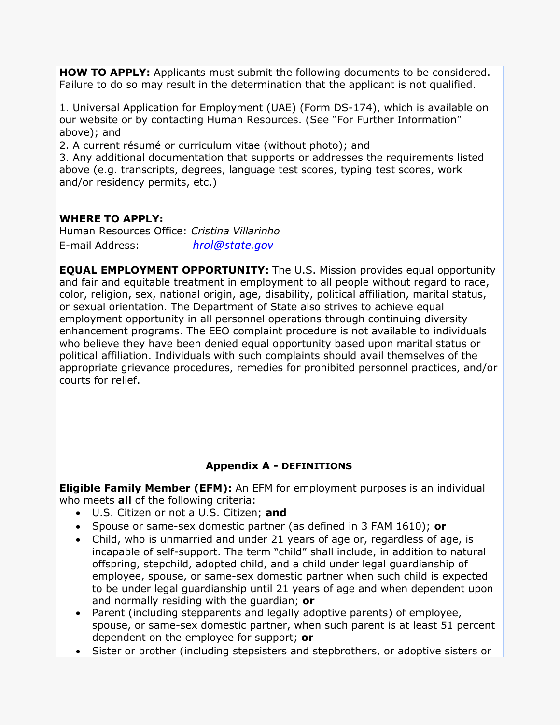**HOW TO APPLY:** Applicants must submit the following documents to be considered. Failure to do so may result in the determination that the applicant is not qualified.

1. Universal Application for Employment (UAE) (Form DS-174), which is available on our website or by contacting Human Resources. (See "For Further Information" above); and

2. A current résumé or curriculum vitae (without photo); and

3. Any additional documentation that supports or addresses the requirements listed above (e.g. transcripts, degrees, language test scores, typing test scores, work and/or residency permits, etc.)

#### **WHERE TO APPLY:**

Human Resources Office: *Cristina Villarinho* E-mail Address: *[hrol@state.gov](mailto:hrol@state.gov)*

**EQUAL EMPLOYMENT OPPORTUNITY:** The U.S. Mission provides equal opportunity and fair and equitable treatment in employment to all people without regard to race, color, religion, sex, national origin, age, disability, political affiliation, marital status, or sexual orientation. The Department of State also strives to achieve equal employment opportunity in all personnel operations through continuing diversity enhancement programs. The EEO complaint procedure is not available to individuals who believe they have been denied equal opportunity based upon marital status or political affiliation. Individuals with such complaints should avail themselves of the appropriate grievance procedures, remedies for prohibited personnel practices, and/or courts for relief.

### **Appendix A - DEFINITIONS**

**Eligible Family Member (EFM):** An EFM for employment purposes is an individual who meets **all** of the following criteria:

- U.S. Citizen or not a U.S. Citizen; **and**
- Spouse or same-sex domestic partner (as defined in 3 FAM 1610); **or**
- Child, who is unmarried and under 21 years of age or, regardless of age, is incapable of self-support. The term "child" shall include, in addition to natural offspring, stepchild, adopted child, and a child under legal guardianship of employee, spouse, or same-sex domestic partner when such child is expected to be under legal guardianship until 21 years of age and when dependent upon and normally residing with the guardian; **or**
- Parent (including stepparents and legally adoptive parents) of employee, spouse, or same-sex domestic partner, when such parent is at least 51 percent dependent on the employee for support; **or**
- Sister or brother (including stepsisters and stepbrothers, or adoptive sisters or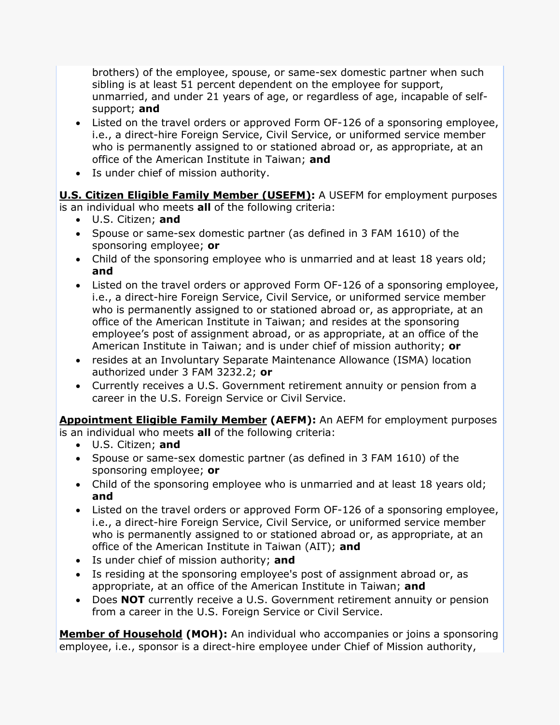brothers) of the employee, spouse, or same-sex domestic partner when such sibling is at least 51 percent dependent on the employee for support, unmarried, and under 21 years of age, or regardless of age, incapable of selfsupport; **and** 

- Listed on the travel orders or approved Form OF-126 of a sponsoring employee, i.e., a direct-hire Foreign Service, Civil Service, or uniformed service member who is permanently assigned to or stationed abroad or, as appropriate, at an office of the American Institute in Taiwan; **and**
- Is under chief of mission authority.

**U.S. Citizen Eligible Family Member (USEFM):** A USEFM for employment purposes is an individual who meets **all** of the following criteria:

- U.S. Citizen; **and**
- Spouse or same-sex domestic partner (as defined in 3 FAM 1610) of the sponsoring employee; **or**
- Child of the sponsoring employee who is unmarried and at least 18 years old; **and**
- Listed on the travel orders or approved Form OF-126 of a sponsoring employee, i.e., a direct-hire Foreign Service, Civil Service, or uniformed service member who is permanently assigned to or stationed abroad or, as appropriate, at an office of the American Institute in Taiwan; and resides at the sponsoring employee's post of assignment abroad, or as appropriate, at an office of the American Institute in Taiwan; and is under chief of mission authority; **or**
- resides at an Involuntary Separate Maintenance Allowance (ISMA) location authorized under 3 FAM 3232.2; **or**
- Currently receives a U.S. Government retirement annuity or pension from a career in the U.S. Foreign Service or Civil Service.

**Appointment Eligible Family Member (AEFM):** An AEFM for employment purposes is an individual who meets **all** of the following criteria:

- U.S. Citizen; **and**
- Spouse or same-sex domestic partner (as defined in 3 FAM 1610) of the sponsoring employee; **or**
- Child of the sponsoring employee who is unmarried and at least 18 years old; **and**
- Listed on the travel orders or approved Form OF-126 of a sponsoring employee, i.e., a direct-hire Foreign Service, Civil Service, or uniformed service member who is permanently assigned to or stationed abroad or, as appropriate, at an office of the American Institute in Taiwan (AIT); **and**
- Is under chief of mission authority; **and**
- Is residing at the sponsoring employee's post of assignment abroad or, as appropriate, at an office of the American Institute in Taiwan; **and**
- Does **NOT** currently receive a U.S. Government retirement annuity or pension from a career in the U.S. Foreign Service or Civil Service.

**Member of Household (MOH):** An individual who accompanies or joins a sponsoring employee, i.e., sponsor is a direct-hire employee under Chief of Mission authority,